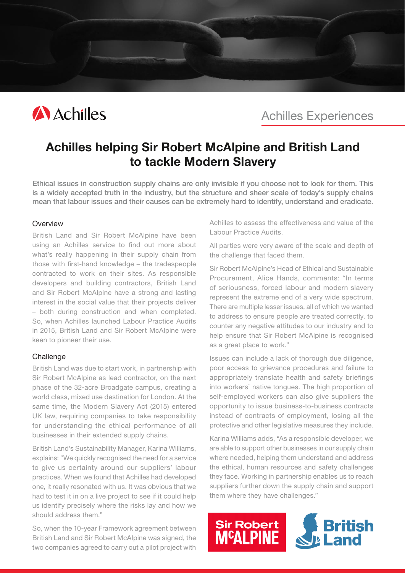

Achilles Experiences

# Achilles helping Sir Robert McAlpine and British Land to tackle Modern Slavery

Ethical issues in construction supply chains are only invisible if you choose not to look for them. This is a widely accepted truth in the industry, but the structure and sheer scale of today's supply chains mean that labour issues and their causes can be extremely hard to identify, understand and eradicate.

#### **Overview**

British Land and Sir Robert McAlpine have been using an Achilles service to find out more about what's really happening in their supply chain from those with first-hand knowledge – the tradespeople contracted to work on their sites. As responsible developers and building contractors, British Land and Sir Robert McAlpine have a strong and lasting interest in the social value that their projects deliver – both during construction and when completed. So, when Achilles launched Labour Practice Audits in 2015, British Land and Sir Robert McAlpine were keen to pioneer their use.

### **Challenge**

British Land was due to start work, in partnership with Sir Robert McAlpine as lead contractor, on the next phase of the 32-acre Broadgate campus, creating a world class, mixed use destination for London. At the same time, the Modern Slavery Act (2015) entered UK law, requiring companies to take responsibility for understanding the ethical performance of all businesses in their extended supply chains.

British Land's Sustainability Manager, Karina Williams, explains: "We quickly recognised the need for a service to give us certainty around our suppliers' labour practices. When we found that Achilles had developed one, it really resonated with us. It was obvious that we had to test it in on a live project to see if it could help us identify precisely where the risks lay and how we should address them."

So, when the 10-year Framework agreement between British Land and Sir Robert McAlpine was signed, the two companies agreed to carry out a pilot project with Achilles to assess the effectiveness and value of the Labour Practice Audits.

All parties were very aware of the scale and depth of the challenge that faced them.

Sir Robert McAlpine's Head of Ethical and Sustainable Procurement, Alice Hands, comments: "In terms of seriousness, forced labour and modern slavery represent the extreme end of a very wide spectrum. There are multiple lesser issues, all of which we wanted to address to ensure people are treated correctly, to counter any negative attitudes to our industry and to help ensure that Sir Robert McAlpine is recognised as a great place to work."

Issues can include a lack of thorough due diligence, poor access to grievance procedures and failure to appropriately translate health and safety briefings into workers' native tongues. The high proportion of self-employed workers can also give suppliers the opportunity to issue business-to-business contracts instead of contracts of employment, losing all the protective and other legislative measures they include.

Karina Williams adds, "As a responsible developer, we are able to support other businesses in our supply chain where needed, helping them understand and address the ethical, human resources and safety challenges they face. Working in partnership enables us to reach suppliers further down the supply chain and support them where they have challenges."